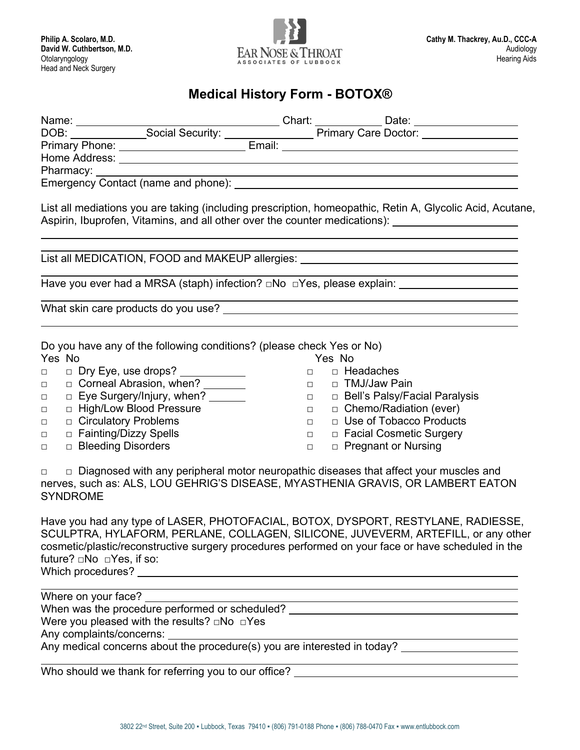

### **Medical History Form - BOTOX®**

| List all mediations you are taking (including prescription, homeopathic, Retin A, Glycolic Acid, Acutane, |        |                                   |
|-----------------------------------------------------------------------------------------------------------|--------|-----------------------------------|
| List all MEDICATION, FOOD and MAKEUP allergies: ________________________________                          |        |                                   |
| Have you ever had a MRSA (staph) infection? □No □Yes, please explain: _________________                   |        |                                   |
|                                                                                                           |        |                                   |
|                                                                                                           |        |                                   |
| Do you have any of the following conditions? (please check Yes or No)                                     |        |                                   |
| Yes No                                                                                                    |        | Yes No                            |
| $\Box$                                                                                                    |        | <sub>□</sub> <b>□ Headaches</b>   |
| □ Corneal Abrasion, when? _______<br>$\Box$                                                               |        | □ □ TMJ/Jaw Pain                  |
| $\Box$ Eye Surgery/Injury, when? _______<br>$\Box$ .                                                      |        | □ □ Bell's Palsy/Facial Paralysis |
| □ High/Low Blood Pressure<br>$\Box$ .                                                                     |        | □ □ Chemo/Radiation (ever)        |
| $\Box$ Circulatory Problems<br>$\Box$                                                                     | $\Box$ | □ Use of Tobacco Products         |

- □ □ Fainting/Dizzy Spells
- □ □ Bleeding Disorders
- □ □ Facial Cosmetic Surgery
	- □ □ Pregnant or Nursing

□ □ Diagnosed with any peripheral motor neuropathic diseases that affect your muscles and nerves, such as: ALS, LOU GEHRIG'S DISEASE, MYASTHENIA GRAVIS, OR LAMBERT EATON SYNDROME

Have you had any type of LASER, PHOTOFACIAL, BOTOX, DYSPORT, RESTYLANE, RADIESSE, SCULPTRA, HYLAFORM, PERLANE, COLLAGEN, SILICONE, JUVEVERM, ARTEFILL, or any other cosmetic/plastic/reconstructive surgery procedures performed on your face or have scheduled in the future? □No □Yes, if so: Which procedures?

Where on your face? When was the procedure performed or scheduled? \_\_\_\_\_\_\_\_\_\_\_\_\_\_\_\_\_\_\_\_\_\_\_\_\_\_\_\_\_\_\_\_\_ Were you pleased with the results? □No □Yes Any complaints/concerns: Any medical concerns about the procedure(s) you are interested in today?

Who should we thank for referring you to our office? \_\_\_\_\_\_\_\_\_\_\_\_\_\_\_\_\_\_\_\_\_\_\_\_\_\_\_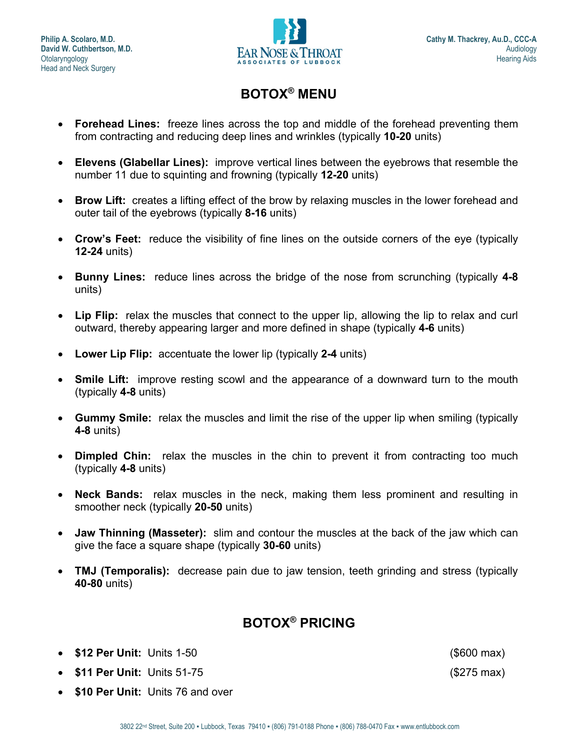

## **BOTOX® MENU**

- **Forehead Lines:** freeze lines across the top and middle of the forehead preventing them from contracting and reducing deep lines and wrinkles (typically **10-20** units)
- **Elevens (Glabellar Lines):** improve vertical lines between the eyebrows that resemble the number 11 due to squinting and frowning (typically **12-20** units)
- **Brow Lift:** creates a lifting effect of the brow by relaxing muscles in the lower forehead and outer tail of the eyebrows (typically **8-16** units)
- **Crow's Feet:** reduce the visibility of fine lines on the outside corners of the eye (typically **12-24** units)
- **Bunny Lines:** reduce lines across the bridge of the nose from scrunching (typically **4-8** units)
- **Lip Flip:** relax the muscles that connect to the upper lip, allowing the lip to relax and curl outward, thereby appearing larger and more defined in shape (typically **4-6** units)
- **Lower Lip Flip:** accentuate the lower lip (typically **2-4** units)
- **Smile Lift:** improve resting scowl and the appearance of a downward turn to the mouth (typically **4-8** units)
- **Gummy Smile:** relax the muscles and limit the rise of the upper lip when smiling (typically **4-8** units)
- **Dimpled Chin:** relax the muscles in the chin to prevent it from contracting too much (typically **4-8** units)
- **Neck Bands:** relax muscles in the neck, making them less prominent and resulting in smoother neck (typically **20-50** units)
- **Jaw Thinning (Masseter):** slim and contour the muscles at the back of the jaw which can give the face a square shape (typically **30-60** units)
- **TMJ (Temporalis):** decrease pain due to jaw tension, teeth grinding and stress (typically **40-80** units)

# **BOTOX® PRICING**

- **\$12 Per Unit:** Units 1-50 (\$600 max)
- **\$11 Per Unit:** Units 51-75 (\$275 max)
- **\$10 Per Unit:** Units 76 and over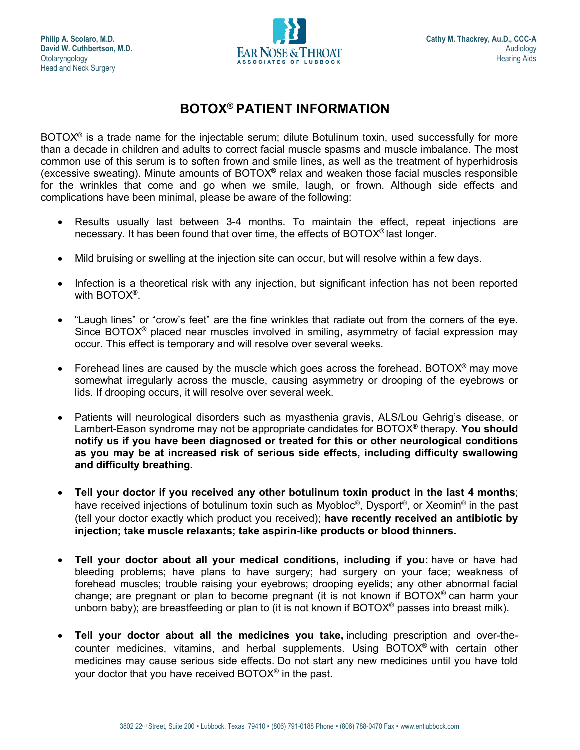

## **BOTOX® PATIENT INFORMATION**

BOTOX**®** is a trade name for the injectable serum; dilute Botulinum toxin, used successfully for more than a decade in children and adults to correct facial muscle spasms and muscle imbalance. The most common use of this serum is to soften frown and smile lines, as well as the treatment of hyperhidrosis (excessive sweating). Minute amounts of BOTOX**®** relax and weaken those facial muscles responsible for the wrinkles that come and go when we smile, laugh, or frown. Although side effects and complications have been minimal, please be aware of the following:

- Results usually last between 3-4 months. To maintain the effect, repeat injections are necessary. It has been found that over time, the effects of BOTOX**®** last longer.
- Mild bruising or swelling at the injection site can occur, but will resolve within a few days.
- Infection is a theoretical risk with any injection, but significant infection has not been reported with BOTOX**®**.
- "Laugh lines" or "crow's feet" are the fine wrinkles that radiate out from the corners of the eye. Since BOTOX**®** placed near muscles involved in smiling, asymmetry of facial expression may occur. This effect is temporary and will resolve over several weeks.
- Forehead lines are caused by the muscle which goes across the forehead. BOTOX**®** may move somewhat irregularly across the muscle, causing asymmetry or drooping of the eyebrows or lids. If drooping occurs, it will resolve over several week.
- Patients will neurological disorders such as myasthenia gravis, ALS/Lou Gehrig's disease, or Lambert-Eason syndrome may not be appropriate candidates for BOTOX**®** therapy. **You should notify us if you have been diagnosed or treated for this or other neurological conditions as you may be at increased risk of serious side effects, including difficulty swallowing and difficulty breathing.**
- **Tell your doctor if you received any other botulinum toxin product in the last 4 months**; have received injections of botulinum toxin such as Myobloc**®**, Dysport**®**, or Xeomin**®** in the past (tell your doctor exactly which product you received); **have recently received an antibiotic by injection; take muscle relaxants; take aspirin-like products or blood thinners.**
- **Tell your doctor about all your medical conditions, including if you:** have or have had bleeding problems; have plans to have surgery; had surgery on your face; weakness of forehead muscles; trouble raising your eyebrows; drooping eyelids; any other abnormal facial change; are pregnant or plan to become pregnant (it is not known if BOTOX**®** can harm your unborn baby); are breastfeeding or plan to (it is not known if BOTOX**®** passes into breast milk).
- **Tell your doctor about all the medicines you take,** including prescription and over-thecounter medicines, vitamins, and herbal supplements. Using BOTOX**®** with certain other medicines may cause serious side effects. Do not start any new medicines until you have told your doctor that you have received BOTOX**®** in the past.